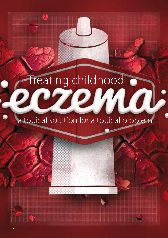# Treating childhood

# a topical solution for a topical problem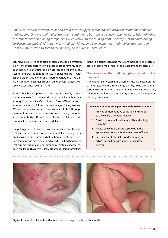*Emollients, topical corticosteroids and avoidance of triggers remain the mainstays of treatment in children with eczema. Under-use of topical treatment continues to be more of a concern than overuse. This highlights the importance of providing comprehensive education to the child's parents or caregivers and overcoming "corticosteroid phobia". Although most children with eczema can be managed with topical treatments in primary care, referral to secondary care may be required in severe cases.*

Eczema, also referred to as atopic eczema or atopic dermatitis, is an itchy inflammatory skin disease most commonly seen in children. It is characterised by pruritis and inflamed, dry, scaling and crusted skin in the acute phase (Figure 1) with lichenification (thickening) and hyperpigmentation of the skin if the condition becomes chronic. Children with eczema will usually experience recurrent flares.

Eczema has been reported to affect approximately 20% of children in New Zealand with disproportionally higher rates among Māori and Pacific children.<sup>1</sup> Over 90% of cases of eczema develop in children before the age of five years and 60% of these cases occur in the first year of life.<sup>2</sup> Although many children experience remission as they grow older, approximately 20 – 40% of those affected in childhood will continue to experience eczema as adults.<sup>1</sup>

The pathogenesis of eczema is complex and it is now thought that skin barrier dysfunction, environmental factors, a genetic predisposition and immune dysfunction all contribute to its development and are closely intertwined.<sup>3</sup> The traditional view, that eczema was primarily an immune-mediated response, has been challenged by recent research that suggests abnormalities

in the skin barrier, including mutations in filaggrin (a structural protein), play a major role in the development of eczema.<sup>4,5</sup>

# **The severity of the child's symptoms should guide treatment**

The diagnosis of eczema in children is usually based on the patient history and clinical signs, e.g. dry, itchy skin and an early age of onset.<sup>2</sup> After a diagnosis of eczema has been made, treatment is tailored to the severity of the child's symptoms (Table 1, over page).

#### **Key management principles for children with eczema**

- 1. Provide comprehensive education and support to the child's parents/caregivers
- 2. Advise use of emollients frequently and in large quantities
- 3. Advise use of topical corticosteroids at the appropriate potency for the treatment of flares
- 4. Seek specialist paediatric or dermatological advice in children with severe or persistent eczema





Figure 1: Examples of infants with atopic eczema (Images provided by Dermnet NZ)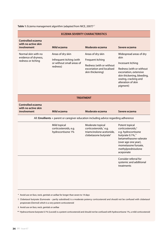Table 1: Eczema management algorithm (adapted from NICE, 2007)<sup>6,7</sup>

| <b>ECZEMA SEVERITY CHARACTERISTICS</b>                                               |                                                                                        |                                                                                                                    |                                                                                                                                                                                                        |  |  |  |  |
|--------------------------------------------------------------------------------------|----------------------------------------------------------------------------------------|--------------------------------------------------------------------------------------------------------------------|--------------------------------------------------------------------------------------------------------------------------------------------------------------------------------------------------------|--|--|--|--|
| <b>Controlled eczema</b><br>with no active skin<br>involvement                       | Mild eczema                                                                            | Moderate eczema                                                                                                    | Severe eczema                                                                                                                                                                                          |  |  |  |  |
| Normal skin with no<br>evidence of dryness,<br>redness or itching                    | Areas of dry skin<br>Infrequent itching (with<br>or without small areas of<br>redness) | Areas of dry skin<br>Frequent itching<br>Redness (with or without<br>excoriation and localised<br>skin thickening) | Widespread areas of dry<br>skin<br>Incessant itching<br>Redness (with or without<br>excoriation, extensive<br>skin thickening, bleeding,<br>oozing, cracking and<br>alteration of skin<br>pigment)     |  |  |  |  |
| <b>TREATMENT</b>                                                                     |                                                                                        |                                                                                                                    |                                                                                                                                                                                                        |  |  |  |  |
| <b>Controlled eczema</b><br>with no active skin<br>involvement                       | Mild eczema                                                                            | Moderate eczema                                                                                                    | Severe eczema                                                                                                                                                                                          |  |  |  |  |
| All: Emollients + parent or caregiver education including advice regarding adherence |                                                                                        |                                                                                                                    |                                                                                                                                                                                                        |  |  |  |  |
|                                                                                      | Mild topical<br>corticosteroids, e.g.<br>hydrocortisone 1%                             | Moderate topical<br>corticosteroids, *e.g.<br>triamcinolone acetonide,<br>clobetasone butyrate <sup>+</sup>        | Potent topical<br>corticosteroids, <sup>#</sup><br>e.g. hydrocortisone<br>butyrate 0.1%,**<br>betamethasone valerate<br>(over age one year),<br>mometasone furoate,<br>methylprednisolone<br>aceponate |  |  |  |  |
|                                                                                      |                                                                                        |                                                                                                                    | Consider referral for<br>systemic and additional<br>treatments                                                                                                                                         |  |  |  |  |

\* Avoid use on face, neck, genitals or axillae for longer than seven to 14 days

- † Clobetasol butyrate (Eumovate partly subsidised) is a moderate potency corticosteroid and should not be confused with clobetasol propionate (Dermol) which is a very potent corticosteroid
- ‡ Avoid use on face, neck, genitals or axillae
- \*\* Hydrocortisone butyrate 0.1% (Locoid) is a potent corticosteroid and should not be confused with hydrocortisone 1%, a mild corticosteroid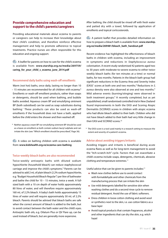# **Provide comprehensive education and support to the child's parents/caregivers**

Providing educational materials about eczema to parents or caregivers can help to increase their knowledge about their child's condition, and therefore reinforce effective management and help to promote adherence to topical treatments. Practice nurses are often responsible for this education and ongoing support.

 $\bigodot$  A leaflet for parents on how to care for the child's eczema is available from: **www.starship.org.nz/media/269759/ caring\_for\_your\_child\_s\_eczema\_june\_2014.pdf**

#### **Recommend daily baths using wash-off emollients**

Warm (not hot) baths, once daily, lasting no longer than 10 – 15 minutes are recommended for all children with eczema. $8$ Emollients or wash-off emollient products, rather than soaps or detergents, should be used when bathing, and bubble baths avoided. Aqueous cream BP and emulsifying ointment BP (both subsidised) can be used as soap substitutes during bathing.\* These products can also be used as wash-off emollients if the household does not have a bath, applied before the child enters the shower and then washed off.

\* Neither aqueous cream BP nor emulsifying ointment BP should be used as a leave-on emollient as both contain sodium lauryl sulphate and can irritate the skin (see: "Which emollient should be prescribed", Page 36).

 $G$  A video on bathing children with eczema is available from: **www.kidshealth.org.nz/eczema-care-bathing**

#### **Twice-weekly bleach baths are also recommended**

Twice-weekly antiseptic baths with diluted sodium hypochlorite (household bleach) can reduce staphylococcal carriage and improve the child's symptoms.<sup>9</sup> Parents can be advised to add 2 mL of plain bleach (2.2% sodium hypochlorite, e.g. "Budget Household Bleach Regular") per litre of bathwater and bathe the child for 10 – 15 minutes, twice a week. A fullsized bath with a 10 cm depth of water holds approximately 80 litres of water, and will therefore require approximately 160 mL of 2.2% bleach. A baby's bath holds approximately 15 litres of water and will require approximately 30 mL of 2.2% bleach. Parents should be advised that bleach baths are safe when the correct amount of bleach is added to the bath, but to avoid contact between the bath water and the child's eyes. Antiseptic bath oils, e.g. Oilatum Plus or QV Flare up, can be used instead of bleach, but are generally more expensive.

After bathing, the child should be rinsed off with fresh water and patted dry with a towel, followed by application of emollients and topical corticosteroids.

 $G_{\sigma}$  A patient leaflet that provides detailed information on how to prepare a bleach bath is available from: **www.starship. org.nz/media/269481/bleach\_bath\_handout.pdf**

Recent evidence has highlighted the effectiveness of bleach baths in children with eczema, including an improvement in symptoms and reductions in *Staphylococcus aureus*  colonisation. A recent study randomised 42 patients aged two to 30 years with moderate-to-severe eczema to either twiceweekly bleach baths (for ten minutes at a time) or normal baths, for two months. Patients in the bleach bath group had significant reductions in the Eczema Area and Severity Index (EASI)\* scores at both one and two months.9 Reductions in *S. aureus* density were also observed at one and two months.<sup>9</sup> Mild adverse events (burning/stinging) were observed in both treatment groups.<sup>9</sup> A recently completed, but as yet unpublished, small randomised controlled trial in New Zealand found improvements in both the EASI and Scoring Atopic Dermatitis (SCORAD) scores in children with atopic eczema who had dilute bleach added to their bath. Children who did not have bleach added to their bath had very little change in their EASI and SCORAD scores.<sup>10</sup>

\* The EASI score is a tool used mainly in a research setting to measure the extent and severity of a patient's eczema.

#### **Advise about avoiding triggers/irritants**

Avoiding triggers and irritants is beneficial during acute eczema flares as well as for long-term management to avoid the "itch-scratch-itch" cycle. Factors that can exacerbate a child's eczema include soaps, detergents, chemicals, abrasive clothing and temperature extremes.<sup>11</sup>

Useful advice that can be given to parents includes:<sup>11</sup>

- Wash new clothes before use to avoid contact with formaldehyde and other chemicals from the manufacturing process that can irritate the skin
- Use mild detergents labelled for sensitive skin when washing clothes and do a second rinse cycle to remove residual detergent. Avoid the use of fabric softeners.
- **Dress children in loose cotton clothing and avoid wool** or synthetics next to the skin, i.e. use cotton fabrics as a base layer
- Avoid topical products that contain fragrances, alcohol and other ingredients that can dry the skin, e.g. witch hazel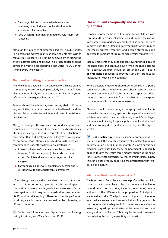- **Encourage children to rinse in fresh water after** swimming in a chlorinated pool and follow with application of an emollient
- Keep children's fingernails trimmed to avoid injury from scratching

Although the influence of airborne allergens, e.g. dust mites, in exacerbating eczema is unclear, some parents may wish to reduce this exposure. This can be achieved by encasing the child's mattress, base and pillows in allergen-barrier bedding covers and washing top bedding in hot water (>55°C), or hot ironing, every two weeks.<sup>12</sup>

#### **The role of food allergy in eczema is unclear**

The role of food allergens in the aetiology of a child's eczema is frequently overestimated, particularly by parents.<sup>13</sup> Food allergy is more likely to be a contributing factor in young infants with severe generalised eczema.<sup>12</sup>

Parents should be advised against putting their child on a very restrictive diet as this is often of limited benefit, and the diet can be expensive to maintain and result in nutritional deficiencies.12, 14

Allergy screening with large panels of food allergens is not recommended in children with eczema, as the child is usually atopic and allergy test results can reflect sensitisation to food rather than a clinically relevant allergy.12, 13 Investigation of potential food allergies in children with eczema is recommended under the following circumstances:<sup>12</sup>

- **If there is a history of an immediate allergic reaction** following food consumption (this can also occur in a breast fed infant due to maternal ingestion of an allergen)
- **If a young child has severe, problematic eczema and is** unresponsive to appropriate topical treatment

If food allergy is suspected in a child with eczema, discussion with an immunologist, paediatric dermatologist or paediatrician is recommended, to decide on a course of further investigation, which may include radioallergosorbent test (RAST) or skin prick testing.12 These tests can be performed in primary care, but results can sometimes be misleading or difficult to interpret.

 $\overline{\mathbb{G}}$  For further information, see: "Appropriate use of allergy testing in primary care" (Best Tests, Nov 2011).

# **Use emollients frequently and in large quantities**

Emollients form the basis of treatment for all children with eczema, as they reduce inflammation and support the natural skin barrier. Increased use of emollients has been shown to improve both the child's and parent's quality of life, reduce the child's eczema symptoms and sleep disturbances and decrease the amount of topical corticosteroids required.<sup>15, 16</sup>

Ideally, emollients should be applied **several times a day** to the entire body and continued even when the child's eczema has cleared.8 Children should be prescribed **250 – 500 g of emollient per week** to provide sufficient product for moisturising, washing and bathing.8

Where possible emollients should be dispensed in a pump container or tube, as emollients prescribed in tubs or jars can become contaminated.<sup>8</sup> If tubs or jars are dispensed, advise carers to scoop the emollient from the tub using a clean spoon or spatula to avoid bacterial contamination.

Children should be encouraged to apply their emollients themselves from a young age, as this helps adherence and self-treatment when they start attending school. School-aged children should ideally keep a supply of emollient at school and be encouraged to use it whenever they feel the urge to scratch.

Best practice tip: when prescribing an emollient it is useful to put the monthly quantity of emollient required on prescription (i.e. 2000 g per month). As most subsidised emollients are "stat" dispensed, the pharmacist is generally obliged to give the entire three months supply at the same time. However, if the prescriber wishes to limit the initial supply this can be achieved by endorsing the prescription with "trial period one month".

#### **Which emollient should be prescribed?**

The best choice of emollient is the one preferred by the child/ parent as it is more likely to be used regularly. Emollients have different formulations, including ointments, creams and lotions. The difference is the proportion of oil (lipid) to water in the product. The lipid content is highest in ointments, intermediate in creams and lowest in lotions. As a general rule, the products with the highest lipid content are more effective in treating dry skin, provide better barrier protection and have a longer duration of action,<sup>12</sup> but may be the least convenient due to being the most greasy/sticky on the skin.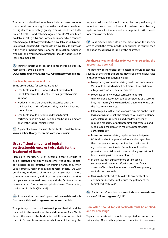The current subsidised emollients include three products that contain cetomacrogol derivatives and are considered as slightly-to-moderately greasy creams. These are Fatty Cream (HealthE) and cetomacrogol cream (PSM) which are available in 500 g tubs, and Sorbolene cream (which contains cetomacrogol + 10% glycerol) which is available in 500 g and 1 kg pump dispensers. Other products are available to purchase if the child or parent prefers another formulation. Aqueous cream BP and emulsifying ointment BP should not be used as leave-on emollients.

 $\mathbb{G}$  Further information on emollients including subsidy restrictions is available from:

**www.nzfchildren.org.nz/nzf\_6237?searchterm=emollients** 

#### **Practical tips on emollient use**

Some useful advice for parents includes:<sup>8</sup>

- **Emollients should be smoothed (not rubbed) onto** the child's skin in the direction of hair growth to avoid irritation
- **Products in tubs/jars should be discarded after the** child has had a skin infection as they may have become contaminated
- **Emollients should be continued when topical** corticosteroids are being used and can be applied before or after the topical corticosteroid

 $\mathbb{G}$  A patient video on the use of emollients is available from: **www.kidshealth.org.nz/eczema-care-moisturisers**

# **Use sufficient amounts of topical corticosteroids once or twice daily for the treatment of flares**

Flares are characteristic of eczema, despite efforts to avoid irritants and apply emollients frequently. Topical corticosteroids are effective for treating flares, and, when used correctly, result in minimal adverse effects.<sup>17</sup> As with emollients, underuse of topical corticosteroids is more common than overuse, and discussing the benefits and risks of topical corticosteroid treatment with the family can assist in overcoming "corticosteroid phobia" (see: "Overcoming corticosteroid phobia", Page 39).

 $\mathbb{G}\rightarrow$  A patient video on use of topical corticosteroids is available from: **www.kidshealth.org.nz/eczema-care-steroids**

The potency of the corticosteroid prescribed should be matched to the severity of the child's eczema flare (Table 1) and the area of the body affected. It is important that the child's parents are aware of what area of the body the

topical corticosteroid should be applied to, particularly if more than one topical corticosteroid has been prescribed, e.g. hydrocortisone for the face and a more potent corticosteroid for eczema on the body.

**Best Practice Tip:** Note on the prescription the specific area to which the cream needs to be applied, as this will then be put on the dispensing label by the pharmacy.

# **Are there any general rules to follow when selecting the appropriate potency?**

The potency of the topical corticosteroid should match the severity of the child's symptoms. However, some useful rules of thumb to guide treatment include:

- **Low potency corticosteroids (e.g. hydrocortisone cream** 1%) should be used as first-line treatment in children of all ages with facial or flexural eczema.<sup>11</sup>
- **Moderate potency topical corticosteroids (e.g.** triamcinolone acetonide) can be considered as a secondline, short-term (five to seven days) treatment for use on the face in severe cases.<sup>11</sup>
- Infants aged less than one year with eczema on the trunk, legs or arms can usually be managed with a low potency corticosteroid. Pre-school aged children generally require a moderate or potent topical corticosteroid and school-aged children often require a potent topical corticosteroid.11
- **Potent corticosteroids (e.g. hydrocortisone butyrate** 0.1%) should not be prescribed for children aged less than one year and very potent topical corticosteroids, e.g. clobetasol propionate (Dermol), should not be prescribed for children with eczema at any age, without first discussing with a dermatologist. $11$
- **In general, short bursts of more potent topical** corticosteroids are more effective and have fewer adverse effects than longer term use of lower potency topical corticosteroids
- **Mixing a topical corticosteroid with an emollient or** another product does not reduce the potency of the topical corticosteroid<sup>8</sup>

 $\mathbb{G}$  For further information on the topical corticosteroids, see: **www.nzfchildren.org.nz/nzf\_6272** 

#### **How often should topical corticosteroids be applied, and for how long?**

Topical corticosteroids should be applied no more than twice a day.<sup>8</sup> Once daily application is sufficient in most cases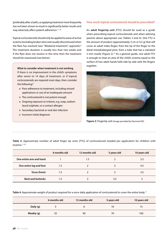(preferably after a bath), as applying treatment more frequently has not been shown to result in significantly better results and may adversely affect patient adherence.<sup>17, 18</sup>

Topical corticosteroids should only be applied to areas of active eczema (including broken skin) and usually discontinued when the flare has resolved (see: "Weekend treatment", opposite).<sup>8</sup> The treatment duration is usually less than two weeks and if the flare does not resolve in this time then the treatment should be reassessed (see below).

**What to consider when treatment is not working** If there is no improvement in the child's symptoms after seven to 14 days of treatment, or if topical corticosteroids are required most days, then consider the following:<sup>8</sup>

- **Poor adherence to treatment, including missed** applications or use of an inadequate amount
- **The corticosteroid is not potent enough**
- **Ongoing exposure to irritants, e.g. soap, sodium** lauryl sulphate, or a contact allergen
- Secondary bacterial or viral skin infection
- **Incorrect initial diagnosis**

# **How much topical corticosteroid should be prescribed?**

An **adult fingertip unit** (FTU) should be used as a guide when prescribing topical corticosteroids and when advising parents about appropriate use (Tables 3 and 4). One FTU is the amount of product (approximately 3 cm or 0.5 g) that will cover an adult index finger, from the tip of the finger to the distal interphalangeal joint, from a tube that has a standard 5 mm nozzle (Figure 2).<sup>19</sup> As a general guide, one adult FTU is enough to treat an area of the child's eczema equal to the surface of two adult hands held side by side with the fingers together.



**Figure 2:** Fingertip unit (Image provided by Dermnet NZ)

**Table 3:** Approximate number of adult finger tip units (FTU) of corticosteroid needed per application for children with  $ercema$ <sup>11, 20</sup>

|                          | 6 months old | 12 months old | 5 years old | 10 years old |
|--------------------------|--------------|---------------|-------------|--------------|
| One entire arm and hand  |              | 1.5           |             | 2.5          |
| One entire leg and foot  | 1.5          |               |             | 4.5          |
| Torso (front)            | 1.5          |               |             | 3.5          |
| <b>Back and buttocks</b> | 1.5          |               | 3.5         |              |

**Table 4:** Approximate weight of product required for a once-daily application of corticosteroid to cover the entire body.11

|            | 6 months old | 12 months old | 5 years old | 10 years old |
|------------|--------------|---------------|-------------|--------------|
| Daily (g)  |              |               | 10          |              |
| Weekly (g) | 35           | 40            | 70          | 100          |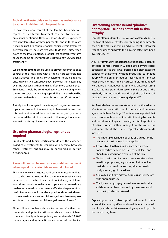## **Topical corticosteroids can be used as maintenance treatment in children with frequent flares**

In most cases, once control of the flare has been achieved, topical corticosteroid treatment can be stopped and emollients continued. However, some children experience frequent flares (two or three per month) and in these cases it may be useful to continue topical corticosteroid treatment between flares.<sup>21</sup> There are two ways to do this  $-$  either step down to the lowest potency product that controls symptoms or use the same potency product less frequently, i.e. "weekend treatment".21

**Weekend treatment** can be used to prevent recurrence once control of the initial flare with a topical corticosteroid has been achieved. The topical corticosteroid should be applied once-daily on two consecutive days per week (not necessarily over the weekend, although this is often more convenient).<sup>21</sup> Emollients should be continued every day, including when the corticosteroid is not being applied. This strategy should be reviewed within three to six months to assess effectiveness.<sup>6</sup>

A study that investigated the efficacy of long-term, weekend topical corticosteroid treatment (up to 16 weeks) showed that this treatment reduced the extent and severity of symptoms and reduced the risk of recurrence in children aged four to ten years with a history of severe recurrent eczema.<sup>22</sup>

# **Use other pharmacological options as required**

Emollients and topical corticosteroids are the evidencebased core treatments for children with eczema, however, other treatment options may be considered in certain circumstances.

## **Pimecrolimus can be used as a second-line treatment when topical corticosteroids are contraindicated**

Pimecrolimus cream 1% (unsubsidised) is a calcineurin inhibitor that can be used as a second-line treatment for sensitive areas of eczema, e.g. the head, neck and genital area, in children aged three months or older when topical corticosteroids are unable to be used or have been ineffective despite optimal use.<sup>7,8</sup> Treatment should only be applied for short periods – up to three weeks at a time in children aged less than two years and for up to six weeks in children aged two to 18 years.<sup>7</sup>

Pimecrolimus has been shown to be less effective than moderate and potent corticosteroids and has not been compared directly with low potency corticosteroids.<sup>24</sup> A 2011 meta-analysis and systematic review reported that topical

# **Overcoming corticosteroid "phobia": appropriate use does not result in skin atrophy**

Parents often underutilise topical corticosteroids due to the fear of adverse effects. Skin thinning is commonly cited as the most concerning adverse effect.<sup>23</sup> However, recent evidence suggests this adverse effect has been over-stated.17, 23

A 2011 study that investigated the atrophogenic potential of topical corticosteroids in 92 paediatric dermatological patients reported that it was possible to obtain excellent control of symptoms without producing cutaneous atrophy.23 The children had all received long-term (at least three months) topical corticosteroid treatment.<sup>23</sup> No degree of cutaneous atrophy was observed using a validated five-point dermoscopic scale at any of the 280 body sites measured, even though the children had received treatment for a prolonged period.23

An Australasian consensus statement on the adverse effects of topical corticosteroids in paediatric eczema agreed with these findings.<sup>17</sup> The statement reported that what is commonly referred to as skin thinning by parents and non-dermatologists is usually a misinterpretation of active eczema.17 Other findings from the consensus statement about the use of topical corticosteroids include:17

- The fingertip unit should be used as a guide for the amount of corticosteroid to be applied
- $\blacksquare$  Irreversible skin thinning does not occur when topical corticosteroids are used to treat flares and then terminated upon resolution of the flare
- Topical corticosteroids do not result in striae unless used inappropriately, e.g. under occlusion for long periods, or in overdose, and only then at certain body sites, e.g. groin or axillae
- **Clinically significant adrenal suppression is very rare** with appropriate use
- **The hyper- or hypo-pigmentation observed as the** child's eczema clears is caused by the eczema and not the topical corticosteroid

Explaining to parents that topical corticosteroids have an anti-inflammatory effect, and are different to anabolic steroids, can also assist in overcoming any steroid phobia the parents may have.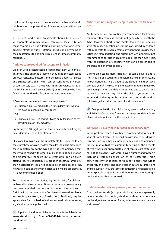corticosteroids appeared to be more effective than calcineurin inhibitors for the prevention of flares in people with atopic eczema.<sup>25</sup>

The benefits and risks of treatments should be discussed with parents as pimecrolimus can cause local irritation, most commonly a short-lasting burning sensation.7 Other adverse effects include irritation, pruritis and erythema at the application site and also skin infections (most commonly folliculitis).7

#### **Antibiotics are required for secondary infection**

Children with infected eczema require treatment with an oral antibiotic. The antibiotic regimen should be selected based on local resistance patterns and be active against *S. aureus* and streptococci. Skin swabs can be considered in certain circumstances, e.g. in areas with high prevalence rates of methicillin-resistant *S. aureus* (MRSA) or in children who have failed to respond to the first-line antibiotic treatment.

A first-line recommended treatment regimen is:26

- **Flucloxacillin 12.5 mg/kg, three times daily, for seven to** ten days (maximum 500 mg/dose)
- OR
- Cephalexin 12.5 25 mg/kg, twice daily, for seven to ten days (maximum 500 mg/dose)

Erythromycin 10 mg/kg/dose, four times daily or 20 mg/kg, twice daily is a second-line alternative.<sup>26</sup>

Flucloxacillin syrup can be unpalatable for some children, therefore those who can swallow capsules should be prescribed these in preference to the syrup. It is not recommended that the syrup is mixed with other liquids prior to administration to help improve the taste, but a sweet drink can be given afterwards. As cephalexin is a broader spectrum antibiotic than flucloxacillin, ideally it should be chosen second-line, however, if compliance with flucloxacillin will be problematic, it is a recommended option.

Prescribing topical antibiotics, e.g. fusidic acid, for children with small localised lesions of infected eczema is now generally not recommended due to the high rates of resistance to fusidic acid in the community. Combination steroid, antibiotic and antifungal creams, e.g. Pimafucort (subsidised), may be appropriate for localised infections in certain circumstances, e.g. children with angular chelitis.

 $\overline{\mathbb{G}}$  A patient handout on infected eczema is available from: **www.starship.org.nz/media/269484/infected\_eczema\_ handout.pdf**

#### **Antihistamines: may aid sleep in children with severe itch**

Antihistamines are not routinely recommended for treating children with eczema as they do not generally help with the itch. $8$  However, a short ( $<$  one month) trial of a non-sedating antihistamine, e.g. cetirizine, can be considered in children with moderate-to-severe eczema or when there is associated urticaria.<sup>8</sup> Non-sedating antihistamines are generally not recommended for use in children aged less than two years, with the exception of cetirizine which can be prescribed to children aged one year or older.<sup>7</sup>

During an eczema flare, itch can become severe and a short course of a sedating antihistamine, e.g. promethazine hydrochloride, can be trialled to aid sleep in children aged over two years.<sup>8</sup> The sedating antihistamine should initially be used at night when the child cannot sleep due to the itch and reduced to "as necessary" when the child's symptoms have improved. Sedating antihistamines are contraindicated in children aged less than two years for all indications.7

**Best practice tip:** If a child is being prescribed a sedating antihistamine "as required", ensure that an appropriate volume of medicine is indicated on the prescription.

#### **Wet wraps: usually now initiated in secondary care**

In the past, wet wraps have been recommended to parents as an at-home treatment for children with severe or extensive eczema. However, they are now generally not recommended for use in an outpatient community setting as the benefits of wet wraps over appropriate use of topical corticosteroids has not be proven.<sup>8, 27</sup> Wet wraps have a number of drawbacks including systemic absorption of corticosteroids, high cost, necessity for specialised training to apply the wraps effectively and safely, and an increase in cutaneous infections and folliculitis.<sup>12</sup> They are sometimes used in a hospital setting under specialist supervision and require close monitoring if used with topical corticosteroids.

#### **Oral corticosteroids are generally not recommended**

Oral corticosteroids (e.g. prednisolone) are not generally recommended for treating children with eczema as there can be significant rebound flaring of eczema when they are withdrawn.8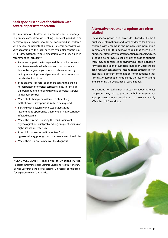# **Seek specialist advice for children with severe or persistent eczema**

The majority of children with eczema can be managed in primary care, although seeking specialist paediatric or dermatological advice should be considered in children with severe or persistent eczema. Referral pathways will vary according to the local services available; contact your DHB. Circumstances where discussion with a specialist is recommended include:<sup>8, 11</sup>

- **If eczema herpeticum is suspected. Eczema herpeticum** is a disseminated viral infection and most cases are due to the *Herpes simplex* virus. It is characterised by rapidly worsening, painful plaques, clustered vesicles or punched out erosions
- If the eczema is severe (or on the face) and the child is not responding to topical corticosteroids. This includes children requiring ongoing daily use of topical steroids to maintain control.
- When phototherapy or systemic treatment, e.g. methotrexate, ciclosporin, is likely to be required
- **If a child with bacterially-infected eczema is not** responding to appropriate treatment, or has recurrently infected eczema
- Where the eczema is causing the child significant psychological or social problems, e.g. frequent waking at night, school absenteeism
- **If the child has suspected immediate food** hypersensitivity, poor growth or a severely restricted diet
- Where there is uncertainty over the diagnosis

**ACKNOWLEDGEMENT:** Thank you to **Dr Diana Purvis**, Paediatric Dermatologist, Starship Children's Health, Honorary Senior Lecturer, School of Medicine, University of Auckland for expert review of this article.

# **Alternative treatments options are often trialled**

The guidance provided in this article is based on the best published international and local evidence for treating children with eczema in the primary care population in New Zealand. It is acknowledged that there are a number of alternative treatment options available, which, although do not have a solid evidence base to support them, may be considered on an individual basis in children for whom resolution of symptoms has been unable to be achieved with conventional means. These strategies often incorporate different combinations of treatments, other formulations/brands of emollients, the use of vitamins and exploring the avoidance of certain foods.

An open and non-judgemental discussion about strategies the parents may wish to pursue can help to ensure that appropriate treatments are selected that do not adversely affect the child's condition.